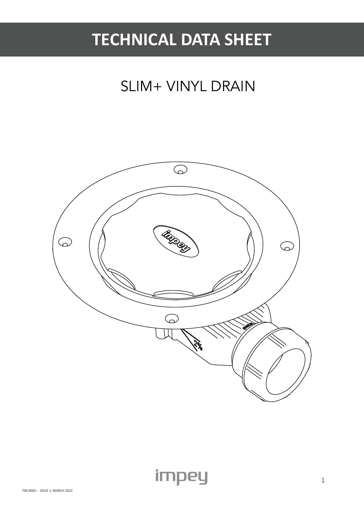## **TECHNICAL DATA SHEET**

### SLIM+ VINYL DRAIN

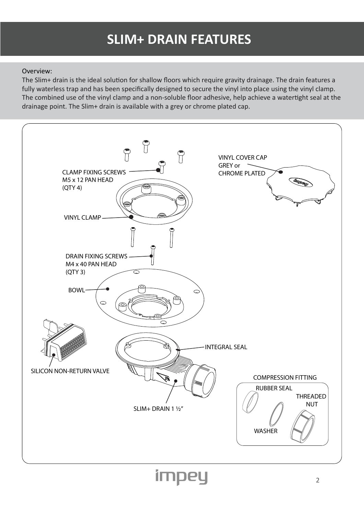### **SLIM+ DRAIN FEATURES**

#### Overview:

The Slim+ drain is the ideal solution for shallow floors which require gravity drainage. The drain features a fully waterless trap and has been specifically designed to secure the vinyl into place using the vinyl clamp. The combined use of the vinyl clamp and a non-soluble floor adhesive, help achieve a watertight seal at the drainage point. The Slim+ drain is available with a grey or chrome plated cap.

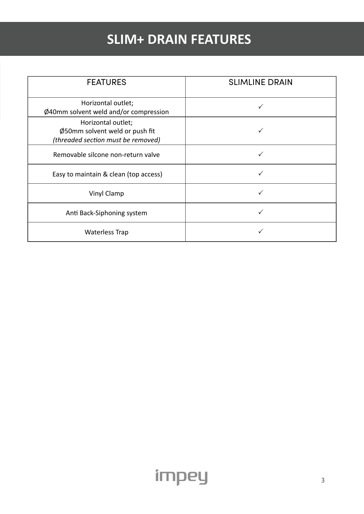### **SLIM+ DRAIN FEATURES**

| <b>FEATURES</b>                                                                            | <b>SLIMLINE DRAIN</b> |
|--------------------------------------------------------------------------------------------|-----------------------|
| Horizontal outlet;<br>Ø40mm solvent weld and/or compression                                |                       |
| Horizontal outlet;<br>Ø50mm solvent weld or push fit<br>(threaded section must be removed) |                       |
| Removable silcone non-return valve                                                         |                       |
| Easy to maintain & clean (top access)                                                      |                       |
| <b>Vinyl Clamp</b>                                                                         |                       |
| Anti Back-Siphoning system                                                                 |                       |
| <b>Waterless Trap</b>                                                                      |                       |

impey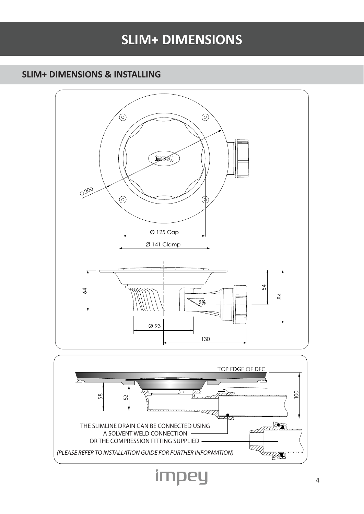### **SLIM+ DIMENSIONS**

#### **SLIM+ DIMENSIONS & INSTALLING**



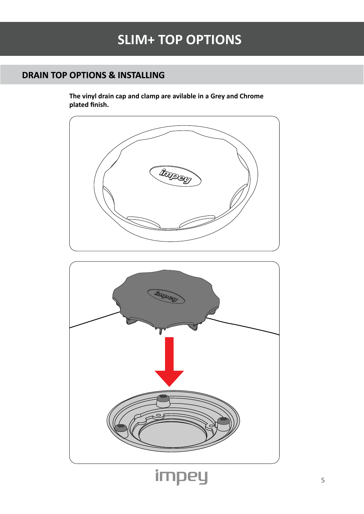#### **DRAIN TOP OPTIONS & INSTALLING**

**The vinyl drain cap and clamp are avilable in a Grey and Chrome plated finish.** 



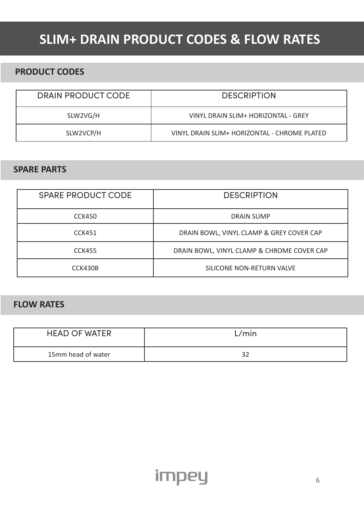### **SLIM+ DRAIN PRODUCT CODES & FLOW RATES**

#### **PRODUCT CODES**

| DRAIN PRODUCT CODE | <b>DESCRIPTION</b>                           |
|--------------------|----------------------------------------------|
| SLW2VG/H           | VINYL DRAIN SLIM+ HORIZONTAL - GREY          |
| SLW2VCP/H          | VINYL DRAIN SLIM+ HORIZONTAL - CHROME PLATED |

#### **SPARE PARTS**

| <b>SPARE PRODUCT CODE</b> | <b>DESCRIPTION</b>                         |
|---------------------------|--------------------------------------------|
| CCK450                    | DRAIN SUMP                                 |
| CCK451                    | DRAIN BOWL, VINYL CLAMP & GREY COVER CAP   |
| <b>CCK455</b>             | DRAIN BOWL, VINYL CLAMP & CHROME COVER CAP |
| CCK430B                   | SILICONE NON-RETURN VALVE                  |

#### **FLOW RATES**

| <b>HEAD OF WATER</b> | L/min |
|----------------------|-------|
| 15mm head of water   |       |